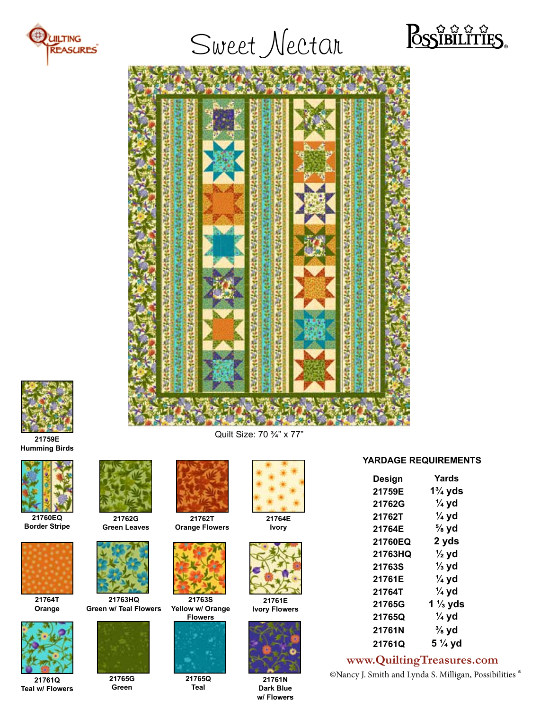

# Sweet Nectar







Quilt Size: 70 ¾" x 77" **21759E Humming Birds**



**21760EQ Border Stripe**



**21764T Orange**



**21761Q Teal w/ Flowers**



**21762G Green Leaves**



**21763HQ Green w/ Teal Flowers**



**21765G Green**



**21762T Orange Flowers**



**21763S Yellow w/ Orange Flowers**



**21765Q Teal**



**21764E Ivory**



**21761E Ivory Flowers**



**21761N Dark Blue w/ Flowers**

## **YARDAGE REQUIREMENTS**

| Yards            |
|------------------|
| 1¾ yds           |
| $\frac{1}{4}$ yd |
| $\frac{1}{4}$ yd |
| $\frac{5}{8}$ yd |
| 2 yds            |
| $\frac{1}{2}$ yd |
| $\frac{1}{3}$ yd |
| $\frac{1}{4}$ yd |
| $\frac{1}{4}$ yd |
| 1 ½ yds          |
| $\frac{1}{4}$ yd |
| ¾ yd             |
| 5 ¼ yd           |
|                  |

# **www.QuiltingTreasures.com**

©Nancy J. Smith and Lynda S. Milligan, Possibilities ®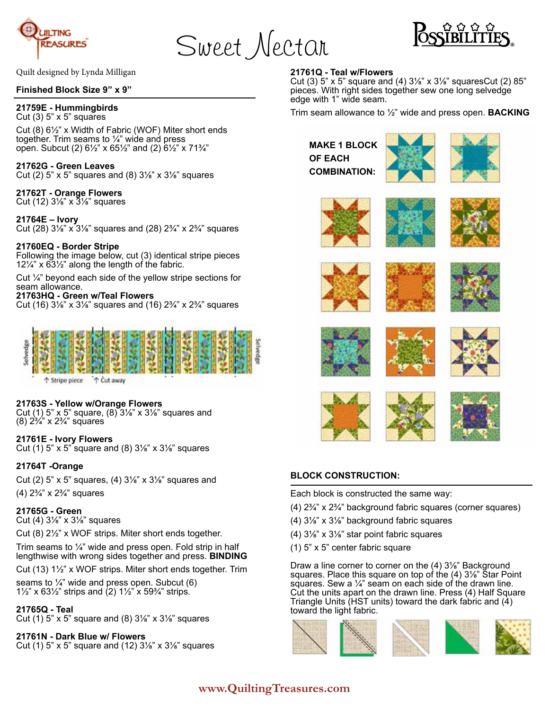

Sweet Nectar



Quilt designed by Lynda Milligan

#### **Finished Block Size 9" x 9"**

#### **21759E - Hummingbirds**

Cut  $(3)$  5" x 5" squares

Cut (8) 6½" x Width of Fabric (WOF) Miter short ends together. Trim seams to  $\frac{1}{4}$ " wide and press open. Subcut (2) 6½" x 65½" and (2) 6½" x 71¾"

#### **21762G - Green Leaves**

Cut (2)  $5$ " x  $5$ " squares and (8)  $3\frac{1}{8}$ " x  $3\frac{1}{8}$ " squares

# **21762T - Orange Flowers**

Cut (12)  $3\frac{1}{8}$ " x  $3\frac{1}{8}$ " squares

#### **21764E – Ivory**

Cut (28)  $3\frac{1}{8}$ " x  $3\frac{1}{8}$ " squares and (28)  $2\frac{3}{4}$ " x  $2\frac{3}{4}$ " squares

#### **21760EQ - Border Stripe**

Following the image below, cut (3) identical stripe pieces 12¼" x 63½" along the length of the fabric.

Cut ¼" beyond each side of the yellow stripe sections for seam allowance.

#### **21763HQ - Green w/Teal Flowers**

Cut (16)  $3\frac{1}{8}$ " x  $3\frac{1}{8}$ " squares and (16)  $2\frac{3}{4}$ " x  $2\frac{3}{4}$ " squares



↑ Cut away ↑ Stripe piece

#### **21763S - Yellow w/Orange Flowers**

Cut (1) 5" x 5" square, (8) 3⅛" x 3⅛" squares and (8) 2¾" x 2¾" squares

#### **21761E - Ivory Flowers**

Cut (1) 5" x 5" square and (8)  $3\frac{1}{8}$ " x  $3\frac{1}{8}$ " squares

#### **21764T -Orange**

Cut (2)  $5$ " x  $5$ " squares, (4)  $3\frac{1}{8}$ " x  $3\frac{1}{8}$ " squares and

(4) 2¾" x 2¾" squares

#### **21765G - Green**

Cut (4) 3⅛" x 3⅛" squares

Cut (8) 2½" x WOF strips. Miter short ends together.

Trim seams to  $\frac{1}{4}$ " wide and press open. Fold strip in half lengthwise with wrong sides together and press. **BINDING**

Cut (13) 1½" x WOF strips. Miter short ends together. Trim

seams to  $\frac{1}{4}$ " wide and press open. Subcut (6) 1½" x 63½" strips and  $(2)$  1½" x 59¼" strips.

#### **21765Q - Teal**

Cut (1)  $5$ " x  $5$ " square and (8)  $3\frac{1}{8}$ " x  $3\frac{1}{8}$ " squares

## **21761N - Dark Blue w/ Flowers**

Cut (1)  $5$ " x  $5$ " square and (12)  $3\frac{1}{8}$ " x  $3\frac{1}{8}$ " squares

#### **21761Q - Teal w/Flowers**

Cut (3)  $5$ " x  $5$ " square and (4)  $3\frac{1}{8}$ " x  $3\frac{1}{8}$ " squaresCut (2)  $85$ " pieces. With right sides together sew one long selvedge edge with 1" wide seam.

Trim seam allowance to ½" wide and press open. **BACKING**

**MAKE 1 BLOCK OF EACH COMBINATION:**



















#### **BLOCK CONSTRUCTION:**

Each block is constructed the same way:

- (4) 2¾" x 2¾" background fabric squares (corner squares)
- (4) 3⅛" x 3⅛" background fabric squares
- (4) 3⅛" x 3⅛" star point fabric squares
- (1) 5" x 5" center fabric square

Draw a line corner to corner on the (4) 3⅛" Background squares. Place this square on top of the (4) 3⅛" Star Point squares. Sew a  $\frac{1}{4}$ " seam on each side of the drawn line. Cut the units apart on the drawn line. Press (4) Half Square Triangle Units (HST units) toward the dark fabric and (4) toward the light fabric.



# **www.QuiltingTreasures.com**